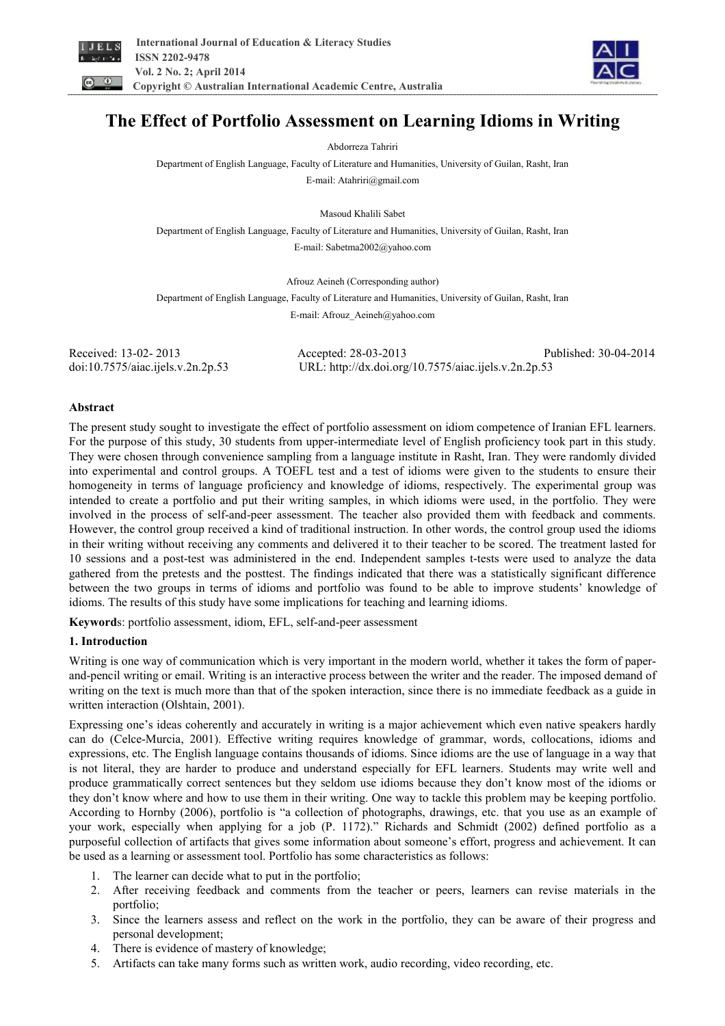



# **The Effect of Portfolio Assessment on Learning Idioms in Writing**

Abdorreza Tahriri

Department of English Language, Faculty of Literature and Humanities, University of Guilan, Rasht, Iran E-mail: Atahriri@gmail.com

Masoud Khalili Sabet

Department of English Language, Faculty of Literature and Humanities, University of Guilan, Rasht, Iran E-mail: Sabetma2002@yahoo.com

Afrouz Aeineh (Corresponding author)

Department of English Language, Faculty of Literature and Humanities, University of Guilan, Rasht, Iran E-mail: Afrouz\_Aeineh@yahoo.com

| Received: 13-02-2013              | Accepted: 28-03-2013                                 | Published: 30-04-2014 |
|-----------------------------------|------------------------------------------------------|-----------------------|
| doi:10.7575/aiac.ijels.v.2n.2p.53 | URL: http://dx.doi.org/10.7575/aiac.ijels.v.2n.2p.53 |                       |

### **Abstract**

The present study sought to investigate the effect of portfolio assessment on idiom competence of Iranian EFL learners. For the purpose of this study, 30 students from upper-intermediate level of English proficiency took part in this study. They were chosen through convenience sampling from a language institute in Rasht, Iran. They were randomly divided into experimental and control groups. A TOEFL test and a test of idioms were given to the students to ensure their homogeneity in terms of language proficiency and knowledge of idioms, respectively. The experimental group was intended to create a portfolio and put their writing samples, in which idioms were used, in the portfolio. They were involved in the process of self-and-peer assessment. The teacher also provided them with feedback and comments. However, the control group received a kind of traditional instruction. In other words, the control group used the idioms in their writing without receiving any comments and delivered it to their teacher to be scored. The treatment lasted for 10 sessions and a post-test was administered in the end. Independent samples t-tests were used to analyze the data gathered from the pretests and the posttest. The findings indicated that there was a statistically significant difference between the two groups in terms of idioms and portfolio was found to be able to improve students' knowledge of idioms. The results of this study have some implications for teaching and learning idioms.

**Keyword**s: portfolio assessment, idiom, EFL, self-and-peer assessment

## **1. Introduction**

Writing is one way of communication which is very important in the modern world, whether it takes the form of paperand-pencil writing or email. Writing is an interactive process between the writer and the reader. The imposed demand of writing on the text is much more than that of the spoken interaction, since there is no immediate feedback as a guide in written interaction (Olshtain, 2001).

Expressing one's ideas coherently and accurately in writing is a major achievement which even native speakers hardly can do (Celce-Murcia, 2001). Effective writing requires knowledge of grammar, words, collocations, idioms and expressions, etc. The English language contains thousands of idioms. Since idioms are the use of language in a way that is not literal, they are harder to produce and understand especially for EFL learners. Students may write well and produce grammatically correct sentences but they seldom use idioms because they don't know most of the idioms or they don't know where and how to use them in their writing. One way to tackle this problem may be keeping portfolio. According to Hornby (2006), portfolio is "a collection of photographs, drawings, etc. that you use as an example of your work, especially when applying for a job (P. 1172)." Richards and Schmidt (2002) defined portfolio as a purposeful collection of artifacts that gives some information about someone's effort, progress and achievement. It can be used as a learning or assessment tool. Portfolio has some characteristics as follows:

- 1. The learner can decide what to put in the portfolio;
- 2. After receiving feedback and comments from the teacher or peers, learners can revise materials in the portfolio;
- 3. Since the learners assess and reflect on the work in the portfolio, they can be aware of their progress and personal development;
- 4. There is evidence of mastery of knowledge;
- 5. Artifacts can take many forms such as written work, audio recording, video recording, etc.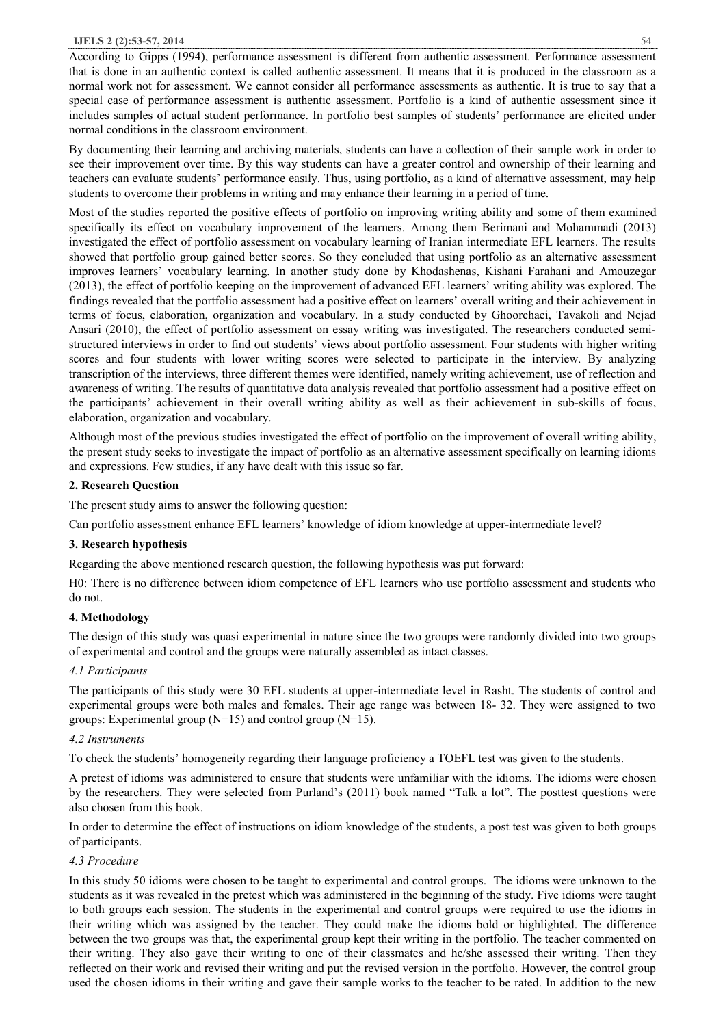#### **IJELS 2 (2):53-57, 2014** 54

According to Gipps (1994), performance assessment is different from authentic assessment. Performance assessment that is done in an authentic context is called authentic assessment. It means that it is produced in the classroom as a normal work not for assessment. We cannot consider all performance assessments as authentic. It is true to say that a special case of performance assessment is authentic assessment. Portfolio is a kind of authentic assessment since it includes samples of actual student performance. In portfolio best samples of students' performance are elicited under normal conditions in the classroom environment.

By documenting their learning and archiving materials, students can have a collection of their sample work in order to see their improvement over time. By this way students can have a greater control and ownership of their learning and teachers can evaluate students' performance easily. Thus, using portfolio, as a kind of alternative assessment, may help students to overcome their problems in writing and may enhance their learning in a period of time.

Most of the studies reported the positive effects of portfolio on improving writing ability and some of them examined specifically its effect on vocabulary improvement of the learners. Among them Berimani and Mohammadi (2013) investigated the effect of portfolio assessment on vocabulary learning of Iranian intermediate EFL learners. The results showed that portfolio group gained better scores. So they concluded that using portfolio as an alternative assessment improves learners' vocabulary learning. In another study done by Khodashenas, Kishani Farahani and Amouzegar (2013), the effect of portfolio keeping on the improvement of advanced EFL learners' writing ability was explored. The findings revealed that the portfolio assessment had a positive effect on learners' overall writing and their achievement in terms of focus, elaboration, organization and vocabulary. In a study conducted by Ghoorchaei, Tavakoli and Nejad Ansari (2010), the effect of portfolio assessment on essay writing was investigated. The researchers conducted semistructured interviews in order to find out students' views about portfolio assessment. Four students with higher writing scores and four students with lower writing scores were selected to participate in the interview. By analyzing transcription of the interviews, three different themes were identified, namely writing achievement, use of reflection and awareness of writing. The results of quantitative data analysis revealed that portfolio assessment had a positive effect on the participants' achievement in their overall writing ability as well as their achievement in sub-skills of focus, elaboration, organization and vocabulary.

Although most of the previous studies investigated the effect of portfolio on the improvement of overall writing ability, the present study seeks to investigate the impact of portfolio as an alternative assessment specifically on learning idioms and expressions. Few studies, if any have dealt with this issue so far.

#### **2. Research Question**

The present study aims to answer the following question:

Can portfolio assessment enhance EFL learners' knowledge of idiom knowledge at upper-intermediate level?

### **3. Research hypothesis**

Regarding the above mentioned research question, the following hypothesis was put forward:

H0: There is no difference between idiom competence of EFL learners who use portfolio assessment and students who do not.

### **4. Methodology**

The design of this study was quasi experimental in nature since the two groups were randomly divided into two groups of experimental and control and the groups were naturally assembled as intact classes.

### *4.1 Participants*

The participants of this study were 30 EFL students at upper-intermediate level in Rasht. The students of control and experimental groups were both males and females. Their age range was between 18- 32. They were assigned to two groups: Experimental group  $(N=15)$  and control group  $(N=15)$ .

### *4.2 Instruments*

To check the students' homogeneity regarding their language proficiency a TOEFL test was given to the students.

A pretest of idioms was administered to ensure that students were unfamiliar with the idioms. The idioms were chosen by the researchers. They were selected from Purland's (2011) book named "Talk a lot". The posttest questions were also chosen from this book.

In order to determine the effect of instructions on idiom knowledge of the students, a post test was given to both groups of participants.

### *4.3 Procedure*

In this study 50 idioms were chosen to be taught to experimental and control groups. The idioms were unknown to the students as it was revealed in the pretest which was administered in the beginning of the study. Five idioms were taught to both groups each session. The students in the experimental and control groups were required to use the idioms in their writing which was assigned by the teacher. They could make the idioms bold or highlighted. The difference between the two groups was that, the experimental group kept their writing in the portfolio. The teacher commented on their writing. They also gave their writing to one of their classmates and he/she assessed their writing. Then they reflected on their work and revised their writing and put the revised version in the portfolio. However, the control group used the chosen idioms in their writing and gave their sample works to the teacher to be rated. In addition to the new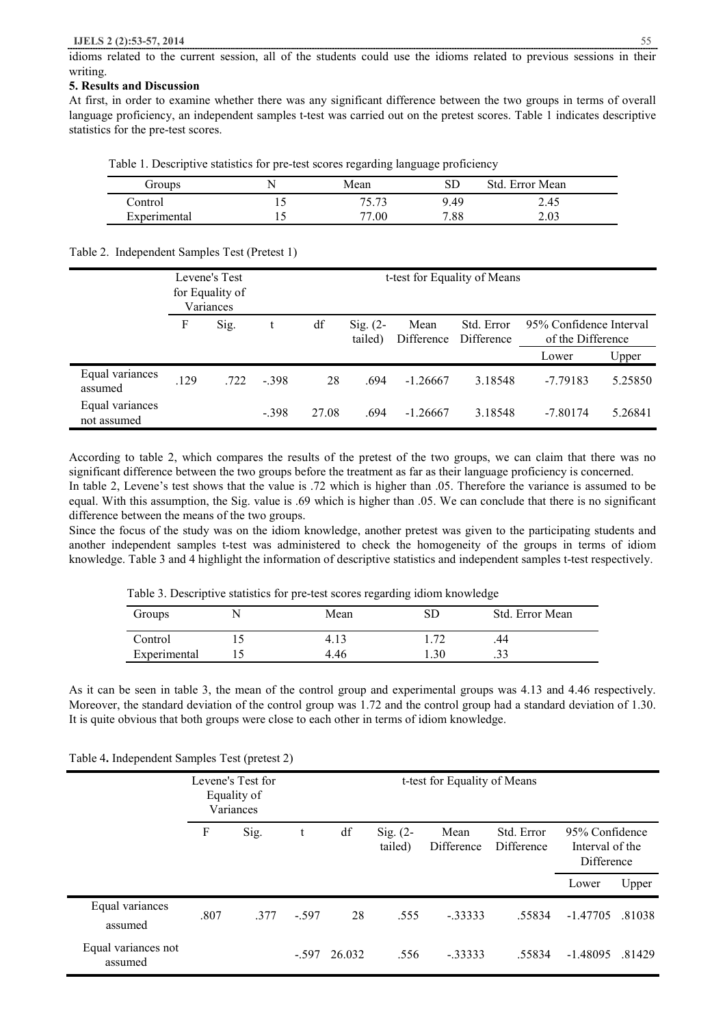idioms related to the current session, all of the students could use the idioms related to previous sessions in their writing.

### **5. Results and Discussion**

At first, in order to examine whether there was any significant difference between the two groups in terms of overall language proficiency, an independent samples t-test was carried out on the pretest scores. Table 1 indicates descriptive statistics for the pre-test scores.

Table 1. Descriptive statistics for pre-test scores regarding language proficiency

| Groups       |     | Mean  |      | Error Mean<br>Std. |
|--------------|-----|-------|------|--------------------|
| Control      | ⊥ J | 75.73 | 9.49 | 2.45               |
| Experimental |     | .00   | 7.88 | 2.03               |

Table 2. Independent Samples Test (Pretest 1)

|                                |      | Levene's Test<br>for Equality of<br>Variances | t-test for Equality of Means |       |                       |                    |                          |                                              |         |
|--------------------------------|------|-----------------------------------------------|------------------------------|-------|-----------------------|--------------------|--------------------------|----------------------------------------------|---------|
|                                | F    | Sig.                                          |                              | df    | $Sig. (2-$<br>tailed) | Mean<br>Difference | Std. Error<br>Difference | 95% Confidence Interval<br>of the Difference |         |
|                                |      |                                               |                              |       |                       |                    |                          | Lower                                        | Upper   |
| Equal variances<br>assumed     | .129 | .722                                          | $-398$                       | 28    | .694                  | $-1.26667$         | 3.18548                  | $-7.79183$                                   | 5.25850 |
| Equal variances<br>not assumed |      |                                               | $-.398$                      | 27.08 | .694                  | $-1.26667$         | 3.18548                  | $-7.80174$                                   | 5.26841 |

According to table 2, which compares the results of the pretest of the two groups, we can claim that there was no significant difference between the two groups before the treatment as far as their language proficiency is concerned.

In table 2, Levene's test shows that the value is .72 which is higher than .05. Therefore the variance is assumed to be equal. With this assumption, the Sig. value is .69 which is higher than .05. We can conclude that there is no significant difference between the means of the two groups.

Since the focus of the study was on the idiom knowledge, another pretest was given to the participating students and another independent samples t-test was administered to check the homogeneity of the groups in terms of idiom knowledge. Table 3 and 4 highlight the information of descriptive statistics and independent samples t-test respectively.

| Table 3. Descriptive statistics for pre-test scores regarding idiom knowledge |  |  |
|-------------------------------------------------------------------------------|--|--|
|                                                                               |  |  |

| Groups       | ╲ | Mean |     | Std. Error Mean |
|--------------|---|------|-----|-----------------|
| Control      |   | 4.13 |     | 44              |
| Experimental |   | 4.46 | .30 |                 |

As it can be seen in table 3, the mean of the control group and experimental groups was 4.13 and 4.46 respectively. Moreover, the standard deviation of the control group was 1.72 and the control group had a standard deviation of 1.30. It is quite obvious that both groups were close to each other in terms of idiom knowledge.

|                                | Levene's Test for<br>Equality of<br>Variances |      |        | t-test for Equality of Means |                       |                    |                          |                                                 |        |
|--------------------------------|-----------------------------------------------|------|--------|------------------------------|-----------------------|--------------------|--------------------------|-------------------------------------------------|--------|
|                                | F                                             | Sig. | t      | df                           | Sig. $(2-$<br>tailed) | Mean<br>Difference | Std. Error<br>Difference | 95% Confidence<br>Interval of the<br>Difference |        |
|                                |                                               |      |        |                              |                       |                    |                          | Lower                                           | Upper  |
| Equal variances<br>assumed     | .807                                          | 377  | $-597$ | 28                           | .555                  | $-33333$           | .55834                   | $-1.47705$                                      | .81038 |
| Equal variances not<br>assumed |                                               |      | $-597$ | 26.032                       | .556                  | $-0.33333$         | .55834                   | $-1.48095$                                      | .81429 |

Table 4**.** Independent Samples Test (pretest 2)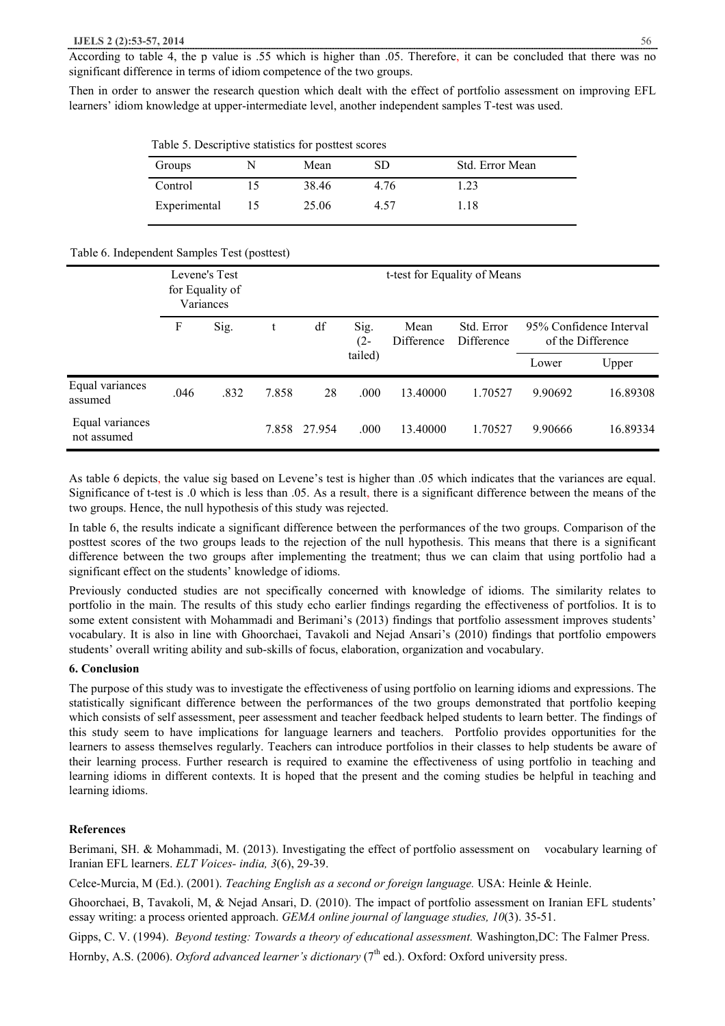According to table 4, the p value is .55 which is higher than .05. Therefore, it can be concluded that there was no significant difference in terms of idiom competence of the two groups.

Then in order to answer the research question which dealt with the effect of portfolio assessment on improving EFL learners' idiom knowledge at upper-intermediate level, another independent samples T-test was used.

Table 5. Descriptive statistics for posttest scores

| Groups       | Mean  | SD   | Std. Error Mean |
|--------------|-------|------|-----------------|
| Control      | 38.46 | 4.76 | .23             |
| Experimental | 25.06 | 4.57 | .18             |

#### Table 6. Independent Samples Test (posttest)

|                                | Levene's Test<br>for Equality of<br>Variances |      |       |        |                | t-test for Equality of Means |                          |         |                                              |
|--------------------------------|-----------------------------------------------|------|-------|--------|----------------|------------------------------|--------------------------|---------|----------------------------------------------|
|                                | F                                             | Sig. |       | df     | Sig.<br>$(2 -$ | Mean<br>Difference           | Std. Error<br>Difference |         | 95% Confidence Interval<br>of the Difference |
|                                |                                               |      |       |        | tailed)        |                              |                          | Lower   | Upper                                        |
| Equal variances<br>assumed     | .046                                          | .832 | 7.858 | 28     | .000           | 13.40000                     | 1.70527                  | 9.90692 | 16.89308                                     |
| Equal variances<br>not assumed |                                               |      | 7.858 | 27.954 | .000           | 13.40000                     | 1.70527                  | 9.90666 | 16.89334                                     |

As table 6 depicts, the value sig based on Levene's test is higher than .05 which indicates that the variances are equal. Significance of t-test is .0 which is less than .05. As a result, there is a significant difference between the means of the two groups. Hence, the null hypothesis of this study was rejected.

In table 6, the results indicate a significant difference between the performances of the two groups. Comparison of the posttest scores of the two groups leads to the rejection of the null hypothesis. This means that there is a significant difference between the two groups after implementing the treatment; thus we can claim that using portfolio had a significant effect on the students' knowledge of idioms.

Previously conducted studies are not specifically concerned with knowledge of idioms. The similarity relates to portfolio in the main. The results of this study echo earlier findings regarding the effectiveness of portfolios. It is to some extent consistent with Mohammadi and Berimani's (2013) findings that portfolio assessment improves students' vocabulary. It is also in line with Ghoorchaei, Tavakoli and Nejad Ansari's (2010) findings that portfolio empowers students' overall writing ability and sub-skills of focus, elaboration, organization and vocabulary.

## **6. Conclusion**

The purpose of this study was to investigate the effectiveness of using portfolio on learning idioms and expressions. The statistically significant difference between the performances of the two groups demonstrated that portfolio keeping which consists of self assessment, peer assessment and teacher feedback helped students to learn better. The findings of this study seem to have implications for language learners and teachers. Portfolio provides opportunities for the learners to assess themselves regularly. Teachers can introduce portfolios in their classes to help students be aware of their learning process. Further research is required to examine the effectiveness of using portfolio in teaching and learning idioms in different contexts. It is hoped that the present and the coming studies be helpful in teaching and learning idioms.

#### **References**

Berimani, SH. & Mohammadi, M. (2013). Investigating the effect of portfolio assessment on vocabulary learning of Iranian EFL learners. *ELT Voices- india, 3*(6), 29-39.

Celce-Murcia, M (Ed.). (2001). *Teaching English as a second or foreign language.* USA: Heinle & Heinle.

Ghoorchaei, B, Tavakoli, M, & Nejad Ansari, D. (2010). The impact of portfolio assessment on Iranian EFL students' essay writing: a process oriented approach. *GEMA online journal of language studies, 10*(3). 35-51.

Gipps, C. V. (1994). *Beyond testing: Towards a theory of educational assessment.* Washington,DC: The Falmer Press. Hornby, A.S. (2006). *Oxford advanced learner's dictionary* (7<sup>th</sup> ed.). Oxford: Oxford university press.